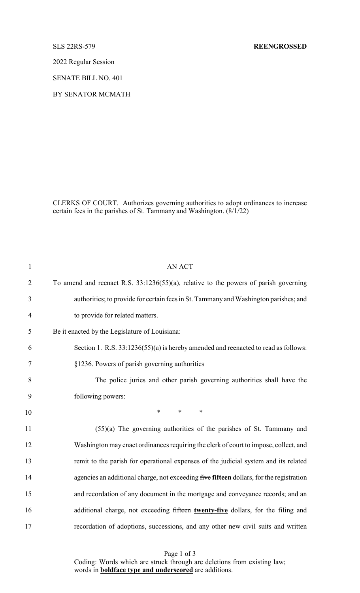2022 Regular Session

SENATE BILL NO. 401

BY SENATOR MCMATH

CLERKS OF COURT. Authorizes governing authorities to adopt ordinances to increase certain fees in the parishes of St. Tammany and Washington. (8/1/22)

| $\mathbf{1}$   | <b>AN ACT</b>                                                                           |
|----------------|-----------------------------------------------------------------------------------------|
| $\overline{2}$ | To amend and reenact R.S. 33:1236(55)(a), relative to the powers of parish governing    |
| 3              | authorities; to provide for certain fees in St. Tammany and Washington parishes; and    |
| $\overline{4}$ | to provide for related matters.                                                         |
| 5              | Be it enacted by the Legislature of Louisiana:                                          |
| 6              | Section 1. R.S. 33:1236(55)(a) is hereby amended and reenacted to read as follows:      |
| 7              | §1236. Powers of parish governing authorities                                           |
| 8              | The police juries and other parish governing authorities shall have the                 |
| 9              | following powers:                                                                       |
| 10             | $\ast$<br>$*$<br>$\ast$                                                                 |
| 11             | $(55)(a)$ The governing authorities of the parishes of St. Tammany and                  |
| 12             | Washington may enact ordinances requiring the clerk of court to impose, collect, and    |
| 13             | remit to the parish for operational expenses of the judicial system and its related     |
| 14             | agencies an additional charge, not exceeding five fifteen dollars, for the registration |
| 15             | and recordation of any document in the mortgage and conveyance records; and an          |
| 16             | additional charge, not exceeding fifteen twenty-five dollars, for the filing and        |
| 17             | recordation of adoptions, successions, and any other new civil suits and written        |

Page 1 of 3 Coding: Words which are struck through are deletions from existing law; words in **boldface type and underscored** are additions.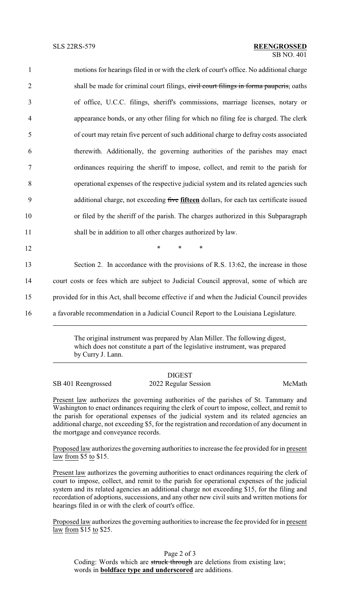| $\mathbf{1}$   | motions for hearings filed in or with the clerk of court's office. No additional charge    |
|----------------|--------------------------------------------------------------------------------------------|
| $\overline{2}$ | shall be made for criminal court filings, civil court filings in forma pauperis, oaths     |
| 3              | of office, U.C.C. filings, sheriff's commissions, marriage licenses, notary or             |
| $\overline{4}$ | appearance bonds, or any other filing for which no filing fee is charged. The clerk        |
| 5              | of court may retain five percent of such additional charge to defray costs associated      |
| 6              | therewith. Additionally, the governing authorities of the parishes may enact               |
| $\tau$         | ordinances requiring the sheriff to impose, collect, and remit to the parish for           |
| $8\,$          | operational expenses of the respective judicial system and its related agencies such       |
| 9              | additional charge, not exceeding five fifteen dollars, for each tax certificate issued     |
| 10             | or filed by the sheriff of the parish. The charges authorized in this Subparagraph         |
| 11             | shall be in addition to all other charges authorized by law.                               |
| 12             | $\ast$<br>$\ast$<br>$\ast$                                                                 |
| 13             | Section 2. In accordance with the provisions of R.S. 13:62, the increase in those          |
| 14             | court costs or fees which are subject to Judicial Council approval, some of which are      |
| 15             | provided for in this Act, shall become effective if and when the Judicial Council provides |
| 16             | a favorable recommendation in a Judicial Council Report to the Louisiana Legislature.      |

The original instrument was prepared by Alan Miller. The following digest, which does not constitute a part of the legislative instrument, was prepared by Curry J. Lann.

## DIGEST

SB 401 Reengrossed 2022 Regular Session McMath

Present law authorizes the governing authorities of the parishes of St. Tammany and Washington to enact ordinances requiring the clerk of court to impose, collect, and remit to the parish for operational expenses of the judicial system and its related agencies an additional charge, not exceeding \$5, for the registration and recordation of any document in the mortgage and conveyance records.

Proposed law authorizes the governing authorities to increase the fee provided for in present law from \$5 to \$15.

Present law authorizes the governing authorities to enact ordinances requiring the clerk of court to impose, collect, and remit to the parish for operational expenses of the judicial system and its related agencies an additional charge not exceeding \$15, for the filing and recordation of adoptions, successions, and any other new civil suits and written motions for hearings filed in or with the clerk of court's office.

Proposed law authorizes the governing authorities to increase the fee provided for in present law from \$15 to \$25.

Page 2 of 3 Coding: Words which are struck through are deletions from existing law; words in **boldface type and underscored** are additions.